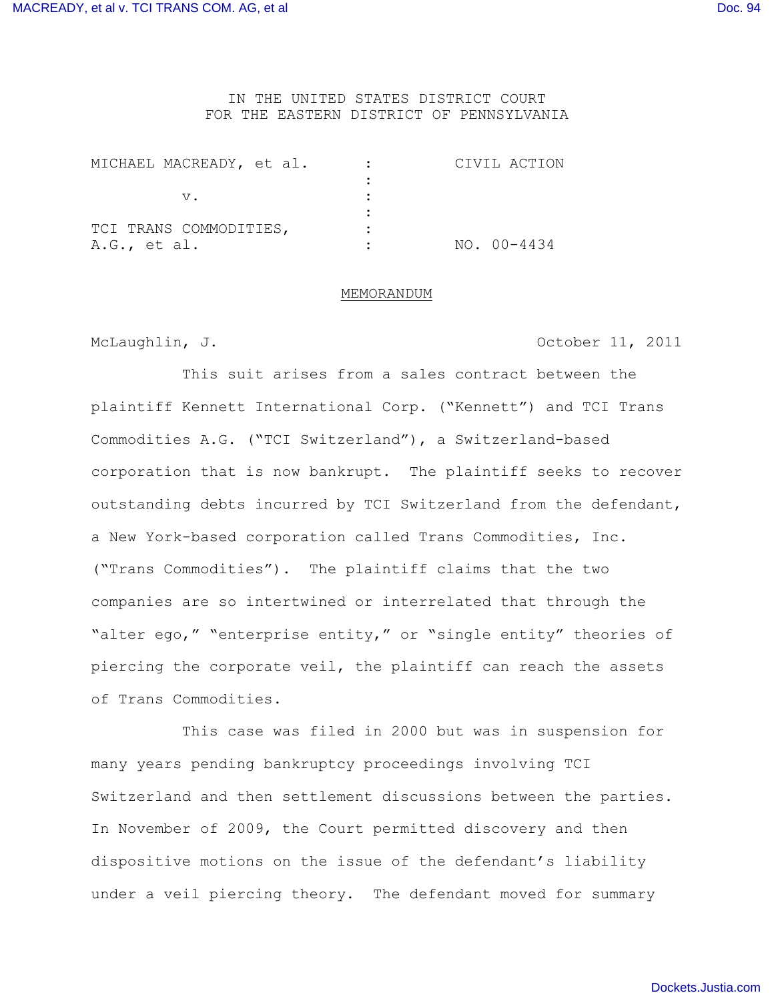# IN THE UNITED STATES DISTRICT COURT FOR THE EASTERN DISTRICT OF PENNSYLVANIA

| MICHAEL MACREADY, et al. | CIVIL ACTION |
|--------------------------|--------------|
|                          |              |
|                          |              |
|                          |              |
| TCI TRANS COMMODITIES,   |              |
| $A.G.,$ et al.           | NO. 00-4434  |

#### MEMORANDUM

McLaughlin, J. **Example 2011** October 11, 2011

This suit arises from a sales contract between the plaintiff Kennett International Corp. ("Kennett") and TCI Trans Commodities A.G. ("TCI Switzerland"), a Switzerland-based corporation that is now bankrupt. The plaintiff seeks to recover outstanding debts incurred by TCI Switzerland from the defendant, a New York-based corporation called Trans Commodities, Inc. ("Trans Commodities"). The plaintiff claims that the two companies are so intertwined or interrelated that through the "alter ego," "enterprise entity," or "single entity" theories of piercing the corporate veil, the plaintiff can reach the assets of Trans Commodities.

This case was filed in 2000 but was in suspension for many years pending bankruptcy proceedings involving TCI Switzerland and then settlement discussions between the parties. In November of 2009, the Court permitted discovery and then dispositive motions on the issue of the defendant's liability under a veil piercing theory. The defendant moved for summary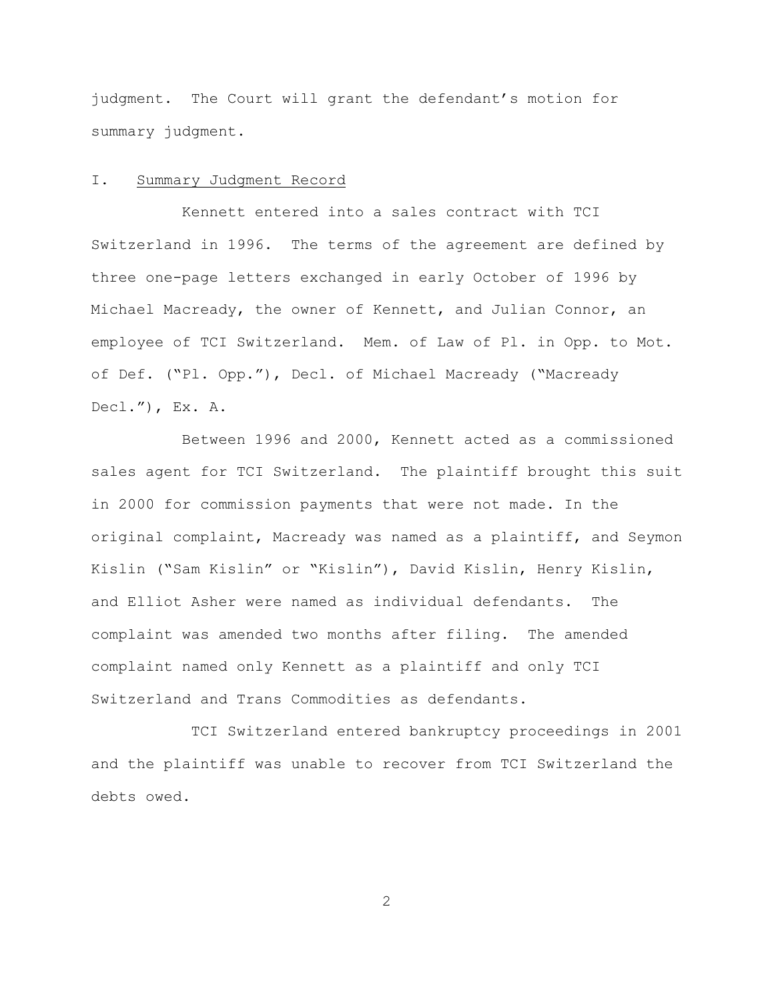judgment. The Court will grant the defendant's motion for summary judgment.

### I. Summary Judgment Record

Kennett entered into a sales contract with TCI Switzerland in 1996. The terms of the agreement are defined by three one-page letters exchanged in early October of 1996 by Michael Macready, the owner of Kennett, and Julian Connor, an employee of TCI Switzerland. Mem. of Law of Pl. in Opp. to Mot. of Def. ("Pl. Opp."), Decl. of Michael Macready ("Macready  $Dec1.")$ ,  $Ex. A.$ 

Between 1996 and 2000, Kennett acted as a commissioned sales agent for TCI Switzerland. The plaintiff brought this suit in 2000 for commission payments that were not made. In the original complaint, Macready was named as a plaintiff, and Seymon Kislin ("Sam Kislin" or "Kislin"), David Kislin, Henry Kislin, and Elliot Asher were named as individual defendants. The complaint was amended two months after filing. The amended complaint named only Kennett as a plaintiff and only TCI Switzerland and Trans Commodities as defendants.

 TCI Switzerland entered bankruptcy proceedings in 2001 and the plaintiff was unable to recover from TCI Switzerland the debts owed.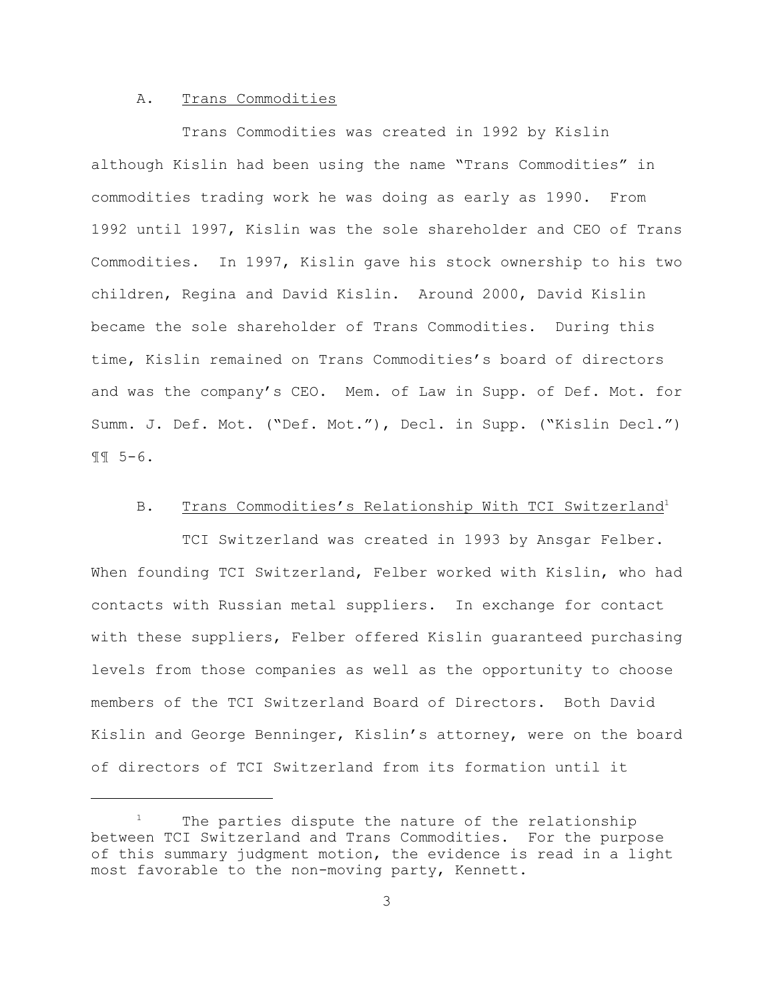### A. Trans Commodities

Trans Commodities was created in 1992 by Kislin although Kislin had been using the name "Trans Commodities" in commodities trading work he was doing as early as 1990. From 1992 until 1997, Kislin was the sole shareholder and CEO of Trans Commodities. In 1997, Kislin gave his stock ownership to his two children, Regina and David Kislin. Around 2000, David Kislin became the sole shareholder of Trans Commodities. During this time, Kislin remained on Trans Commodities's board of directors and was the company's CEO. Mem. of Law in Supp. of Def. Mot. for Summ. J. Def. Mot. ("Def. Mot."), Decl. in Supp. ("Kislin Decl.") ¶¶ 5-6.

### B. Trans Commodities's Relationship With TCI Switzerland<sup>1</sup>

TCI Switzerland was created in 1993 by Ansgar Felber. When founding TCI Switzerland, Felber worked with Kislin, who had contacts with Russian metal suppliers. In exchange for contact with these suppliers, Felber offered Kislin guaranteed purchasing levels from those companies as well as the opportunity to choose members of the TCI Switzerland Board of Directors. Both David Kislin and George Benninger, Kislin's attorney, were on the board of directors of TCI Switzerland from its formation until it

 $1$  The parties dispute the nature of the relationship between TCI Switzerland and Trans Commodities. For the purpose of this summary judgment motion, the evidence is read in a light most favorable to the non-moving party, Kennett.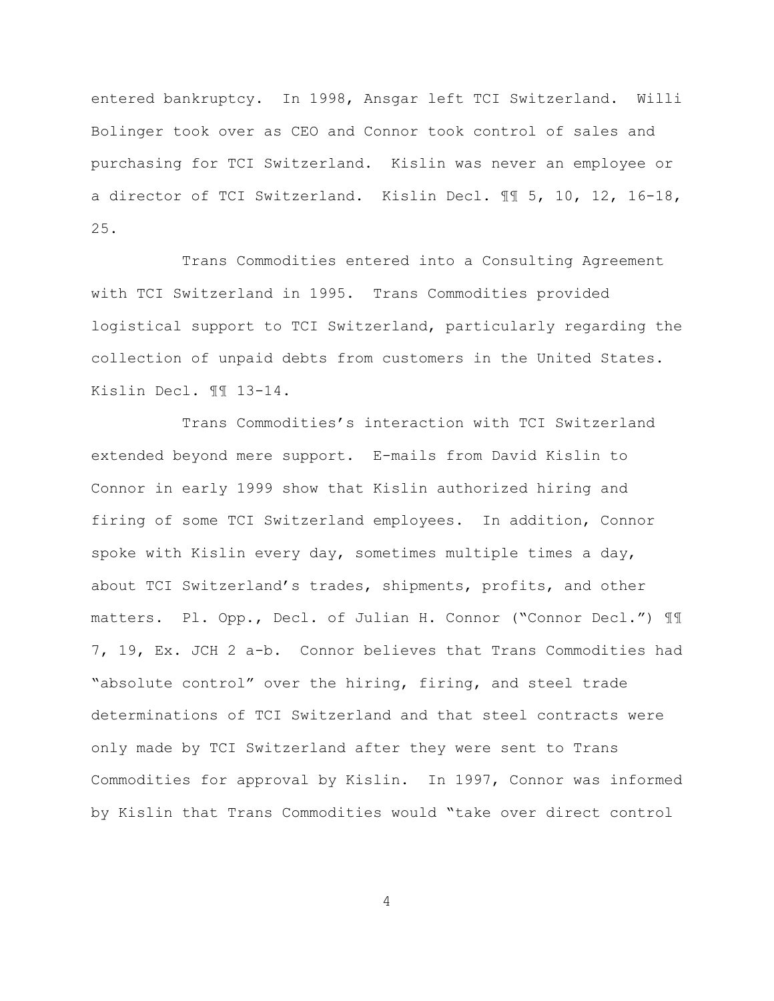entered bankruptcy. In 1998, Ansgar left TCI Switzerland. Willi Bolinger took over as CEO and Connor took control of sales and purchasing for TCI Switzerland. Kislin was never an employee or a director of TCI Switzerland. Kislin Decl. ¶¶ 5, 10, 12, 16-18, 25.

Trans Commodities entered into a Consulting Agreement with TCI Switzerland in 1995. Trans Commodities provided logistical support to TCI Switzerland, particularly regarding the collection of unpaid debts from customers in the United States. Kislin Decl. ¶¶ 13-14.

Trans Commodities's interaction with TCI Switzerland extended beyond mere support. E-mails from David Kislin to Connor in early 1999 show that Kislin authorized hiring and firing of some TCI Switzerland employees. In addition, Connor spoke with Kislin every day, sometimes multiple times a day, about TCI Switzerland's trades, shipments, profits, and other matters. Pl. Opp., Decl. of Julian H. Connor ("Connor Decl.") ¶¶ 7, 19, Ex. JCH 2 a-b. Connor believes that Trans Commodities had "absolute control" over the hiring, firing, and steel trade determinations of TCI Switzerland and that steel contracts were only made by TCI Switzerland after they were sent to Trans Commodities for approval by Kislin. In 1997, Connor was informed by Kislin that Trans Commodities would "take over direct control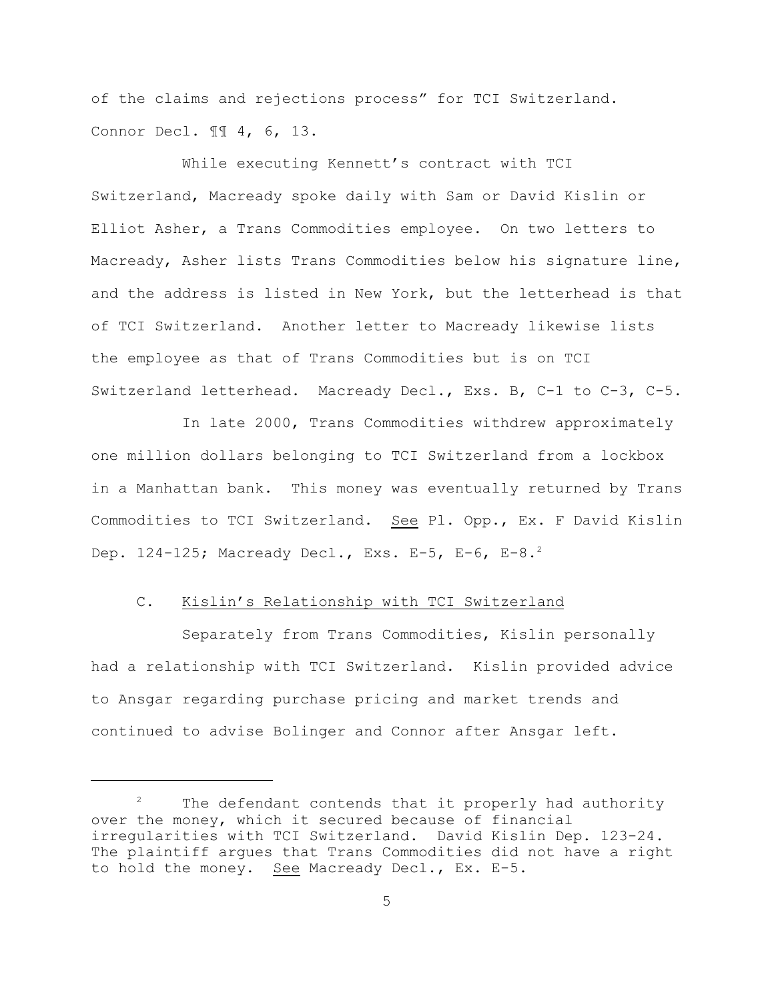of the claims and rejections process" for TCI Switzerland. Connor Decl. ¶¶ 4, 6, 13.

While executing Kennett's contract with TCI Switzerland, Macready spoke daily with Sam or David Kislin or Elliot Asher, a Trans Commodities employee. On two letters to Macready, Asher lists Trans Commodities below his signature line, and the address is listed in New York, but the letterhead is that of TCI Switzerland. Another letter to Macready likewise lists the employee as that of Trans Commodities but is on TCI Switzerland letterhead. Macready Decl., Exs. B, C-1 to C-3, C-5.

In late 2000, Trans Commodities withdrew approximately one million dollars belonging to TCI Switzerland from a lockbox in a Manhattan bank. This money was eventually returned by Trans Commodities to TCI Switzerland. See Pl. Opp., Ex. F David Kislin Dep. 124-125; Macready Decl., Exs. E-5, E-6, E-8.<sup>2</sup>

# C. Kislin's Relationship with TCI Switzerland

Separately from Trans Commodities, Kislin personally had a relationship with TCI Switzerland. Kislin provided advice to Ansgar regarding purchase pricing and market trends and continued to advise Bolinger and Connor after Ansgar left.

 $2^2$  The defendant contends that it properly had authority over the money, which it secured because of financial irregularities with TCI Switzerland. David Kislin Dep. 123-24. The plaintiff argues that Trans Commodities did not have a right to hold the money. See Macready Decl., Ex. E-5.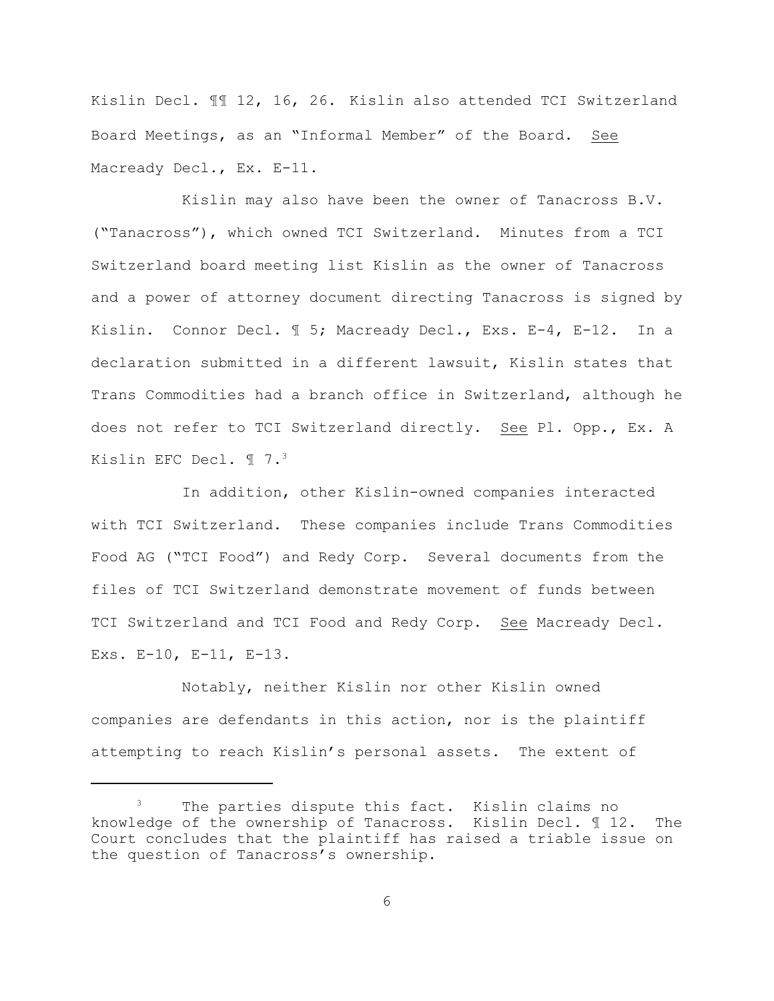Kislin Decl. ¶¶ 12, 16, 26. Kislin also attended TCI Switzerland Board Meetings, as an "Informal Member" of the Board. See Macready Decl., Ex. E-11.

Kislin may also have been the owner of Tanacross B.V. ("Tanacross"), which owned TCI Switzerland. Minutes from a TCI Switzerland board meeting list Kislin as the owner of Tanacross and a power of attorney document directing Tanacross is signed by Kislin. Connor Decl. ¶ 5; Macready Decl., Exs. E-4, E-12. In a declaration submitted in a different lawsuit, Kislin states that Trans Commodities had a branch office in Switzerland, although he does not refer to TCI Switzerland directly. See Pl. Opp., Ex. A Kislin EFC Decl. ¶ 7.<sup>3</sup>

In addition, other Kislin-owned companies interacted with TCI Switzerland. These companies include Trans Commodities Food AG ("TCI Food") and Redy Corp. Several documents from the files of TCI Switzerland demonstrate movement of funds between TCI Switzerland and TCI Food and Redy Corp. See Macready Decl. Exs. E-10, E-11, E-13.

Notably, neither Kislin nor other Kislin owned companies are defendants in this action, nor is the plaintiff attempting to reach Kislin's personal assets. The extent of

The parties dispute this fact. Kislin claims no knowledge of the ownership of Tanacross. Kislin Decl. ¶ 12. The Court concludes that the plaintiff has raised a triable issue on the question of Tanacross's ownership.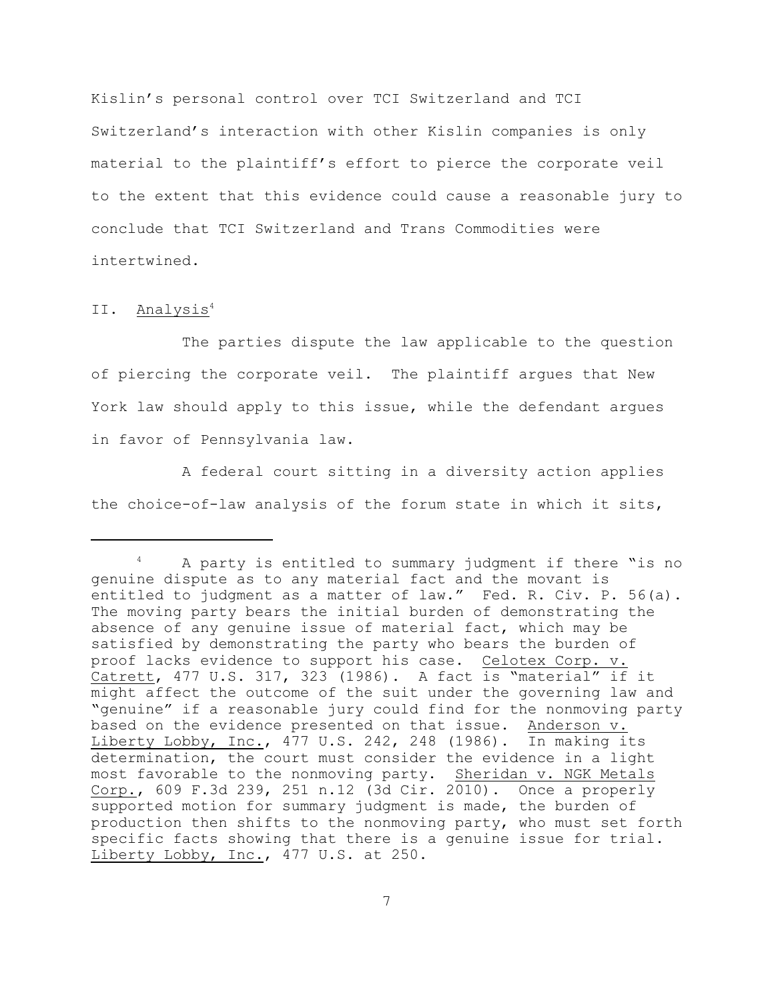Kislin's personal control over TCI Switzerland and TCI Switzerland's interaction with other Kislin companies is only material to the plaintiff's effort to pierce the corporate veil to the extent that this evidence could cause a reasonable jury to conclude that TCI Switzerland and Trans Commodities were intertwined.

### II. Analysis<sup>4</sup>

The parties dispute the law applicable to the question of piercing the corporate veil. The plaintiff argues that New York law should apply to this issue, while the defendant argues in favor of Pennsylvania law.

A federal court sitting in a diversity action applies the choice-of-law analysis of the forum state in which it sits,

A party is entitled to summary judgment if there "is no <sup>4</sup> genuine dispute as to any material fact and the movant is entitled to judgment as a matter of law." Fed. R. Civ. P. 56(a). The moving party bears the initial burden of demonstrating the absence of any genuine issue of material fact, which may be satisfied by demonstrating the party who bears the burden of proof lacks evidence to support his case. Celotex Corp. v. Catrett, 477 U.S. 317, 323 (1986). A fact is "material" if it might affect the outcome of the suit under the governing law and "genuine" if a reasonable jury could find for the nonmoving party based on the evidence presented on that issue. Anderson v. Liberty Lobby, Inc., 477 U.S. 242, 248 (1986). In making its determination, the court must consider the evidence in a light most favorable to the nonmoving party. Sheridan v. NGK Metals Corp., 609 F.3d 239, 251 n.12 (3d Cir. 2010). Once a properly supported motion for summary judgment is made, the burden of production then shifts to the nonmoving party, who must set forth specific facts showing that there is a genuine issue for trial. Liberty Lobby, Inc., 477 U.S. at 250.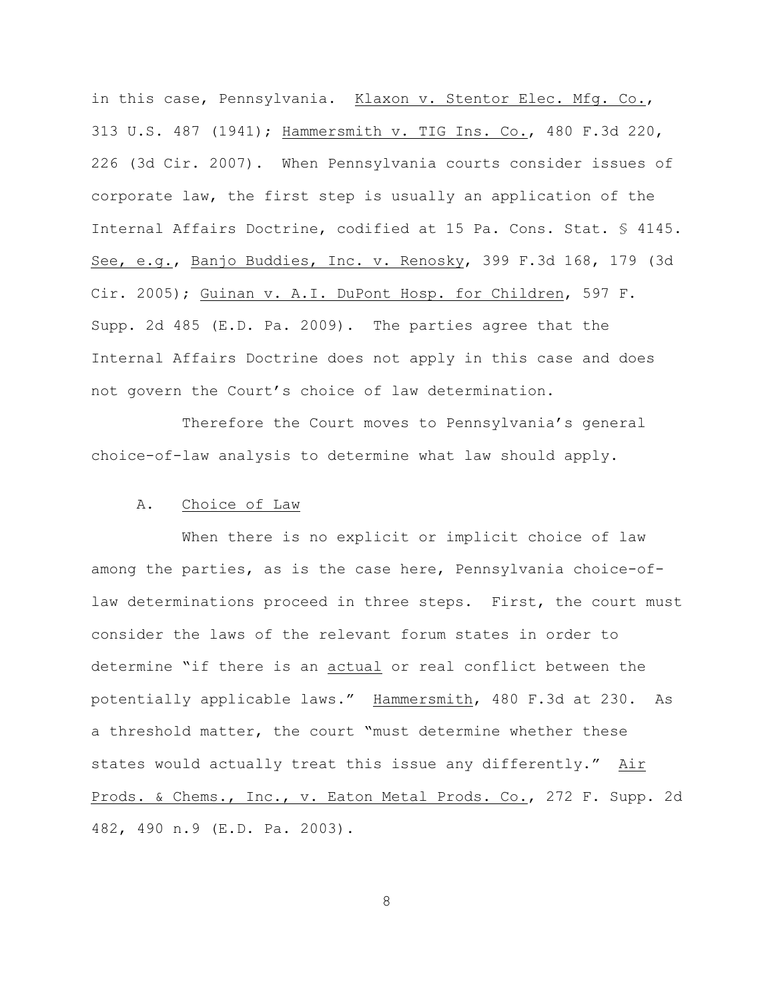in this case, Pennsylvania. Klaxon v. Stentor Elec. Mfg. Co., 313 U.S. 487 (1941); Hammersmith v. TIG Ins. Co., 480 F.3d 220, 226 (3d Cir. 2007). When Pennsylvania courts consider issues of corporate law, the first step is usually an application of the Internal Affairs Doctrine, codified at 15 Pa. Cons. Stat. § 4145. See, e.g., Banjo Buddies, Inc. v. Renosky, 399 F.3d 168, 179 (3d Cir. 2005); Guinan v. A.I. DuPont Hosp. for Children, 597 F. Supp. 2d 485 (E.D. Pa. 2009). The parties agree that the Internal Affairs Doctrine does not apply in this case and does not govern the Court's choice of law determination.

Therefore the Court moves to Pennsylvania's general choice-of-law analysis to determine what law should apply.

### A. Choice of Law

When there is no explicit or implicit choice of law among the parties, as is the case here, Pennsylvania choice-oflaw determinations proceed in three steps. First, the court must consider the laws of the relevant forum states in order to determine "if there is an actual or real conflict between the potentially applicable laws." Hammersmith, 480 F.3d at 230. As a threshold matter, the court "must determine whether these states would actually treat this issue any differently." Air Prods. & Chems., Inc., v. Eaton Metal Prods. Co., 272 F. Supp. 2d 482, 490 n.9 (E.D. Pa. 2003).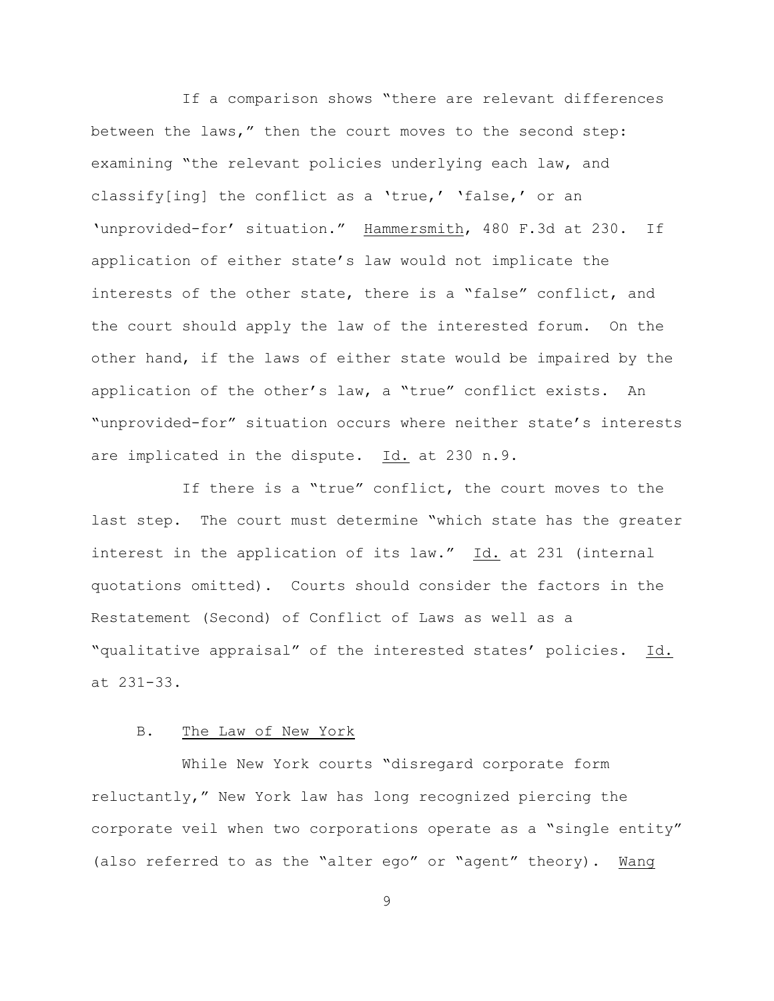If a comparison shows "there are relevant differences between the laws," then the court moves to the second step: examining "the relevant policies underlying each law, and classify[ing] the conflict as a 'true,' 'false,' or an 'unprovided-for' situation." Hammersmith, 480 F.3d at 230. If application of either state's law would not implicate the interests of the other state, there is a "false" conflict, and the court should apply the law of the interested forum. On the other hand, if the laws of either state would be impaired by the application of the other's law, a "true" conflict exists. An "unprovided-for" situation occurs where neither state's interests are implicated in the dispute. Id. at 230 n.9.

If there is a "true" conflict, the court moves to the last step. The court must determine "which state has the greater interest in the application of its law." Id. at 231 (internal quotations omitted). Courts should consider the factors in the Restatement (Second) of Conflict of Laws as well as a "qualitative appraisal" of the interested states' policies. Id. at 231-33.

# B. The Law of New York

While New York courts "disregard corporate form reluctantly," New York law has long recognized piercing the corporate veil when two corporations operate as a "single entity" (also referred to as the "alter ego" or "agent" theory). Wang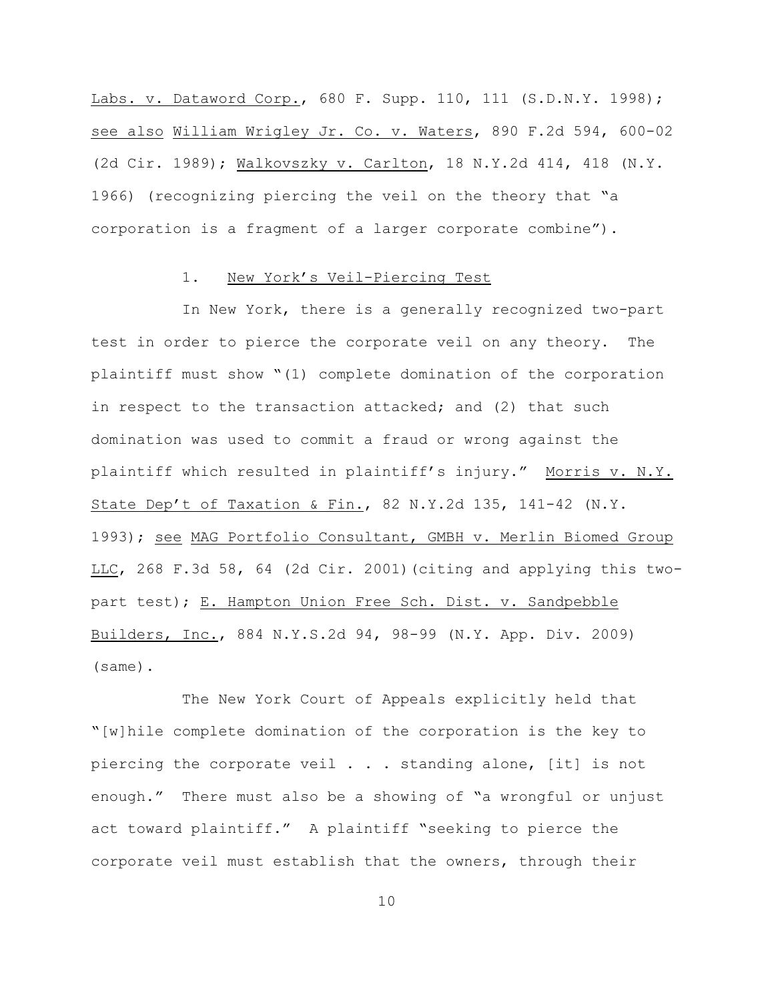Labs. v. Dataword Corp., 680 F. Supp. 110, 111 (S.D.N.Y. 1998); see also William Wrigley Jr. Co. v. Waters, 890 F.2d 594, 600-02 (2d Cir. 1989); Walkovszky v. Carlton, 18 N.Y.2d 414, 418 (N.Y. 1966) (recognizing piercing the veil on the theory that "a corporation is a fragment of a larger corporate combine").

### 1. New York's Veil-Piercing Test

In New York, there is a generally recognized two-part test in order to pierce the corporate veil on any theory. The plaintiff must show "(1) complete domination of the corporation in respect to the transaction attacked; and (2) that such domination was used to commit a fraud or wrong against the plaintiff which resulted in plaintiff's injury." Morris v. N.Y. State Dep't of Taxation & Fin., 82 N.Y.2d 135, 141-42 (N.Y. 1993); see MAG Portfolio Consultant, GMBH v. Merlin Biomed Group LLC, 268 F.3d 58, 64 (2d Cir. 2001)(citing and applying this twopart test); E. Hampton Union Free Sch. Dist. v. Sandpebble Builders, Inc., 884 N.Y.S.2d 94, 98-99 (N.Y. App. Div. 2009) (same).

The New York Court of Appeals explicitly held that "[w]hile complete domination of the corporation is the key to piercing the corporate veil . . . standing alone, [it] is not enough." There must also be a showing of "a wrongful or unjust act toward plaintiff." A plaintiff "seeking to pierce the corporate veil must establish that the owners, through their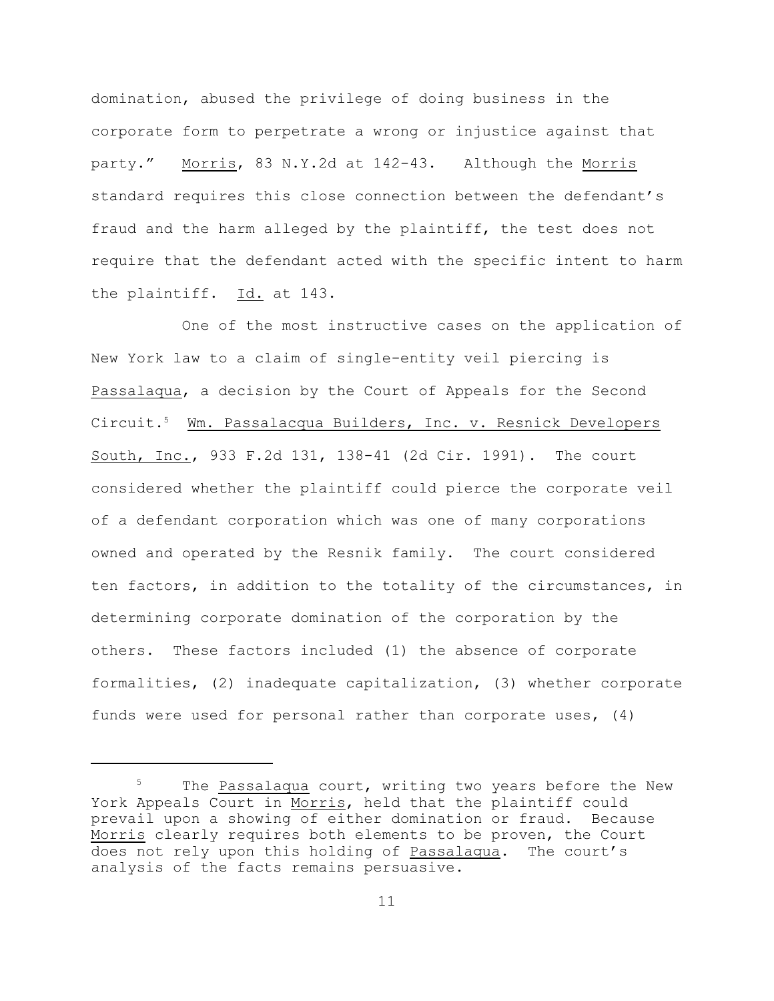domination, abused the privilege of doing business in the corporate form to perpetrate a wrong or injustice against that party." Morris, 83 N.Y.2d at 142-43. Although the Morris standard requires this close connection between the defendant's fraud and the harm alleged by the plaintiff, the test does not require that the defendant acted with the specific intent to harm the plaintiff. Id. at 143.

One of the most instructive cases on the application of New York law to a claim of single-entity veil piercing is Passalaqua, a decision by the Court of Appeals for the Second Circuit.<sup>5</sup> Wm. Passalacqua Builders, Inc. v. Resnick Developers South, Inc., 933 F.2d 131, 138-41 (2d Cir. 1991). The court considered whether the plaintiff could pierce the corporate veil of a defendant corporation which was one of many corporations owned and operated by the Resnik family. The court considered ten factors, in addition to the totality of the circumstances, in determining corporate domination of the corporation by the others. These factors included (1) the absence of corporate formalities, (2) inadequate capitalization, (3) whether corporate funds were used for personal rather than corporate uses, (4)

 $5$  The Passalaqua court, writing two years before the New York Appeals Court in Morris, held that the plaintiff could prevail upon a showing of either domination or fraud. Because Morris clearly requires both elements to be proven, the Court does not rely upon this holding of Passalaqua. The court's analysis of the facts remains persuasive.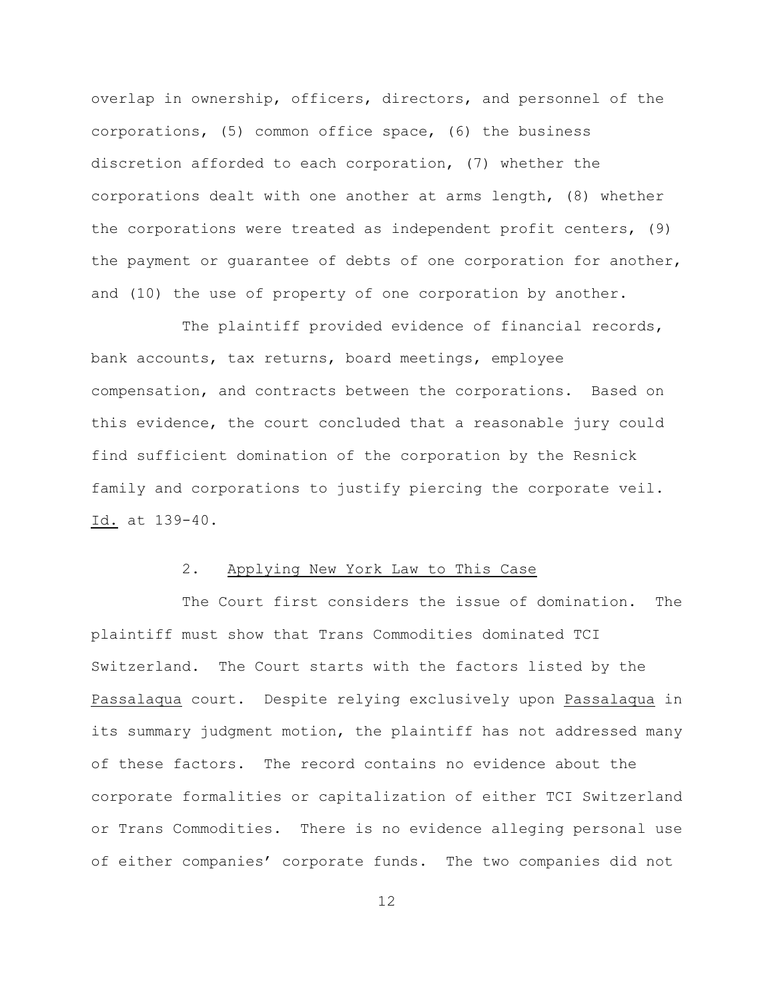overlap in ownership, officers, directors, and personnel of the corporations, (5) common office space, (6) the business discretion afforded to each corporation, (7) whether the corporations dealt with one another at arms length, (8) whether the corporations were treated as independent profit centers, (9) the payment or guarantee of debts of one corporation for another, and (10) the use of property of one corporation by another.

The plaintiff provided evidence of financial records, bank accounts, tax returns, board meetings, employee compensation, and contracts between the corporations. Based on this evidence, the court concluded that a reasonable jury could find sufficient domination of the corporation by the Resnick family and corporations to justify piercing the corporate veil. Id. at 139-40.

### 2. Applying New York Law to This Case

The Court first considers the issue of domination. The plaintiff must show that Trans Commodities dominated TCI Switzerland. The Court starts with the factors listed by the Passalaqua court. Despite relying exclusively upon Passalaqua in its summary judgment motion, the plaintiff has not addressed many of these factors. The record contains no evidence about the corporate formalities or capitalization of either TCI Switzerland or Trans Commodities. There is no evidence alleging personal use of either companies' corporate funds. The two companies did not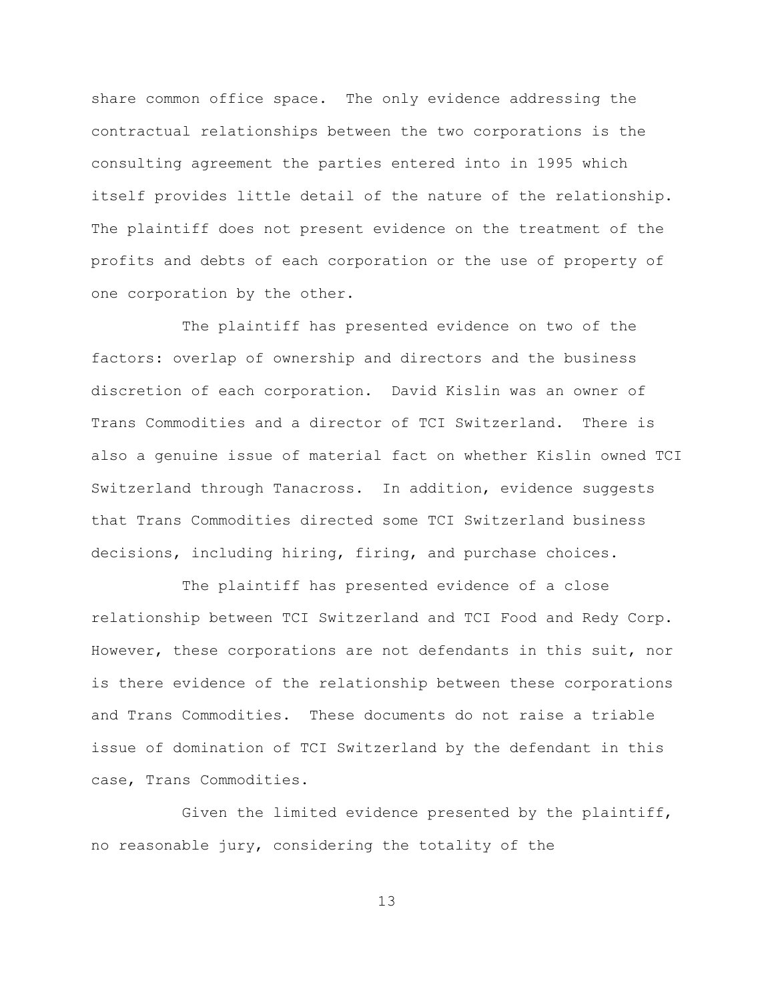share common office space. The only evidence addressing the contractual relationships between the two corporations is the consulting agreement the parties entered into in 1995 which itself provides little detail of the nature of the relationship. The plaintiff does not present evidence on the treatment of the profits and debts of each corporation or the use of property of one corporation by the other.

The plaintiff has presented evidence on two of the factors: overlap of ownership and directors and the business discretion of each corporation. David Kislin was an owner of Trans Commodities and a director of TCI Switzerland. There is also a genuine issue of material fact on whether Kislin owned TCI Switzerland through Tanacross. In addition, evidence suggests that Trans Commodities directed some TCI Switzerland business decisions, including hiring, firing, and purchase choices.

The plaintiff has presented evidence of a close relationship between TCI Switzerland and TCI Food and Redy Corp. However, these corporations are not defendants in this suit, nor is there evidence of the relationship between these corporations and Trans Commodities. These documents do not raise a triable issue of domination of TCI Switzerland by the defendant in this case, Trans Commodities.

Given the limited evidence presented by the plaintiff, no reasonable jury, considering the totality of the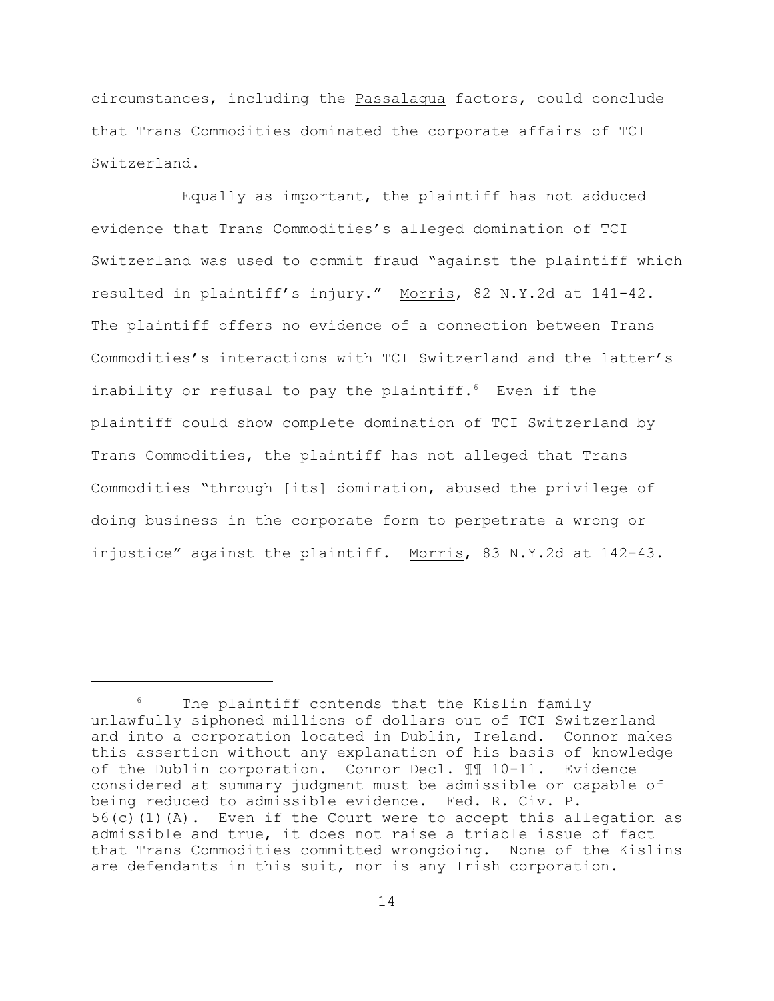circumstances, including the Passalaqua factors, could conclude that Trans Commodities dominated the corporate affairs of TCI Switzerland.

Equally as important, the plaintiff has not adduced evidence that Trans Commodities's alleged domination of TCI Switzerland was used to commit fraud "against the plaintiff which resulted in plaintiff's injury." Morris, 82 N.Y.2d at 141-42. The plaintiff offers no evidence of a connection between Trans Commodities's interactions with TCI Switzerland and the latter's inability or refusal to pay the plaintiff. $6$  Even if the plaintiff could show complete domination of TCI Switzerland by Trans Commodities, the plaintiff has not alleged that Trans Commodities "through [its] domination, abused the privilege of doing business in the corporate form to perpetrate a wrong or injustice" against the plaintiff. Morris, 83 N.Y.2d at 142-43.

The plaintiff contends that the Kislin family unlawfully siphoned millions of dollars out of TCI Switzerland and into a corporation located in Dublin, Ireland. Connor makes this assertion without any explanation of his basis of knowledge of the Dublin corporation. Connor Decl. ¶¶ 10-11. Evidence considered at summary judgment must be admissible or capable of being reduced to admissible evidence. Fed. R. Civ. P. 56(c)(1)(A). Even if the Court were to accept this allegation as admissible and true, it does not raise a triable issue of fact that Trans Commodities committed wrongdoing. None of the Kislins are defendants in this suit, nor is any Irish corporation.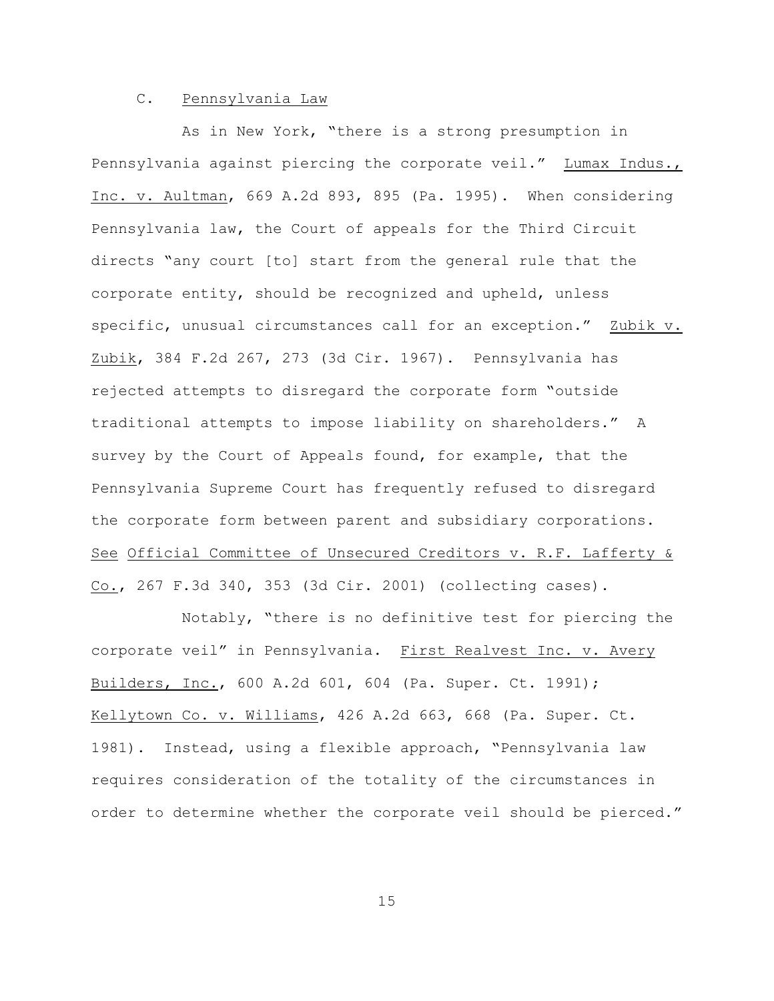# C. Pennsylvania Law

As in New York, "there is a strong presumption in Pennsylvania against piercing the corporate veil." Lumax Indus., Inc. v. Aultman, 669 A.2d 893, 895 (Pa. 1995). When considering Pennsylvania law, the Court of appeals for the Third Circuit directs "any court [to] start from the general rule that the corporate entity, should be recognized and upheld, unless specific, unusual circumstances call for an exception." Zubik v. Zubik, 384 F.2d 267, 273 (3d Cir. 1967). Pennsylvania has rejected attempts to disregard the corporate form "outside traditional attempts to impose liability on shareholders." A survey by the Court of Appeals found, for example, that the Pennsylvania Supreme Court has frequently refused to disregard the corporate form between parent and subsidiary corporations. See Official Committee of Unsecured Creditors v. R.F. Lafferty & Co., 267 F.3d 340, 353 (3d Cir. 2001) (collecting cases).

Notably, "there is no definitive test for piercing the corporate veil" in Pennsylvania. First Realvest Inc. v. Avery Builders, Inc., 600 A.2d 601, 604 (Pa. Super. Ct. 1991); Kellytown Co. v. Williams, 426 A.2d 663, 668 (Pa. Super. Ct. 1981). Instead, using a flexible approach, "Pennsylvania law requires consideration of the totality of the circumstances in order to determine whether the corporate veil should be pierced."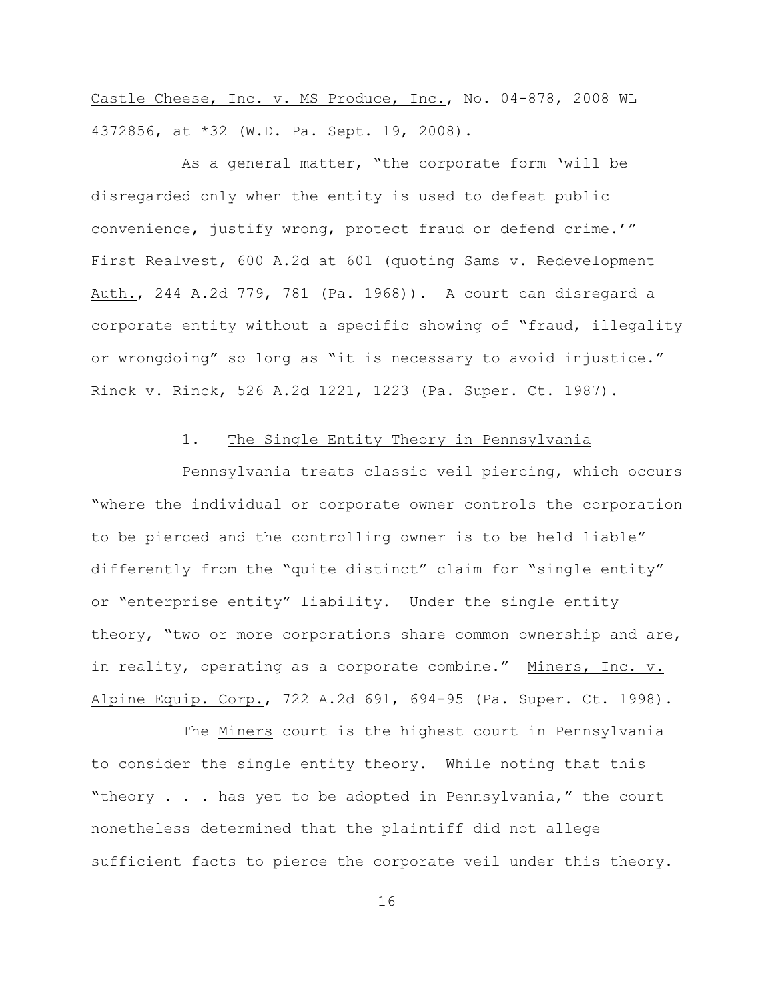Castle Cheese, Inc. v. MS Produce, Inc., No. 04-878, 2008 WL 4372856, at \*32 (W.D. Pa. Sept. 19, 2008).

As a general matter, "the corporate form 'will be disregarded only when the entity is used to defeat public convenience, justify wrong, protect fraud or defend crime.'" First Realvest, 600 A.2d at 601 (quoting Sams v. Redevelopment Auth., 244 A.2d 779, 781 (Pa. 1968)). A court can disregard a corporate entity without a specific showing of "fraud, illegality or wrongdoing" so long as "it is necessary to avoid injustice." Rinck v. Rinck, 526 A.2d 1221, 1223 (Pa. Super. Ct. 1987).

# 1. The Single Entity Theory in Pennsylvania

Pennsylvania treats classic veil piercing, which occurs "where the individual or corporate owner controls the corporation to be pierced and the controlling owner is to be held liable" differently from the "quite distinct" claim for "single entity" or "enterprise entity" liability. Under the single entity theory, "two or more corporations share common ownership and are, in reality, operating as a corporate combine." Miners, Inc. v. Alpine Equip. Corp., 722 A.2d 691, 694-95 (Pa. Super. Ct. 1998).

The Miners court is the highest court in Pennsylvania to consider the single entity theory. While noting that this "theory . . . has yet to be adopted in Pennsylvania," the court nonetheless determined that the plaintiff did not allege sufficient facts to pierce the corporate veil under this theory.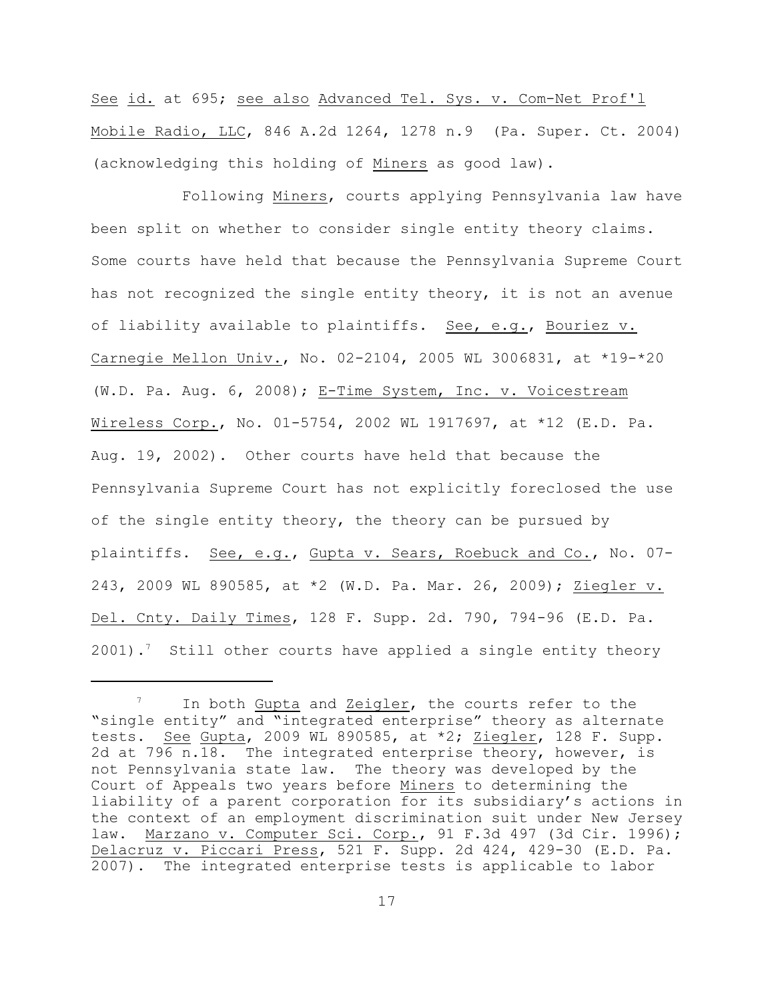See id. at 695; see also Advanced Tel. Sys. v. Com-Net Prof'l Mobile Radio, LLC, 846 A.2d 1264, 1278 n.9 (Pa. Super. Ct. 2004) (acknowledging this holding of Miners as good law).

Following Miners, courts applying Pennsylvania law have been split on whether to consider single entity theory claims. Some courts have held that because the Pennsylvania Supreme Court has not recognized the single entity theory, it is not an avenue of liability available to plaintiffs. See, e.g., Bouriez v. Carnegie Mellon Univ., No. 02-2104, 2005 WL 3006831, at \*19-\*20 (W.D. Pa. Aug. 6, 2008); E-Time System, Inc. v. Voicestream Wireless Corp., No. 01-5754, 2002 WL 1917697, at \*12 (E.D. Pa. Aug. 19, 2002). Other courts have held that because the Pennsylvania Supreme Court has not explicitly foreclosed the use of the single entity theory, the theory can be pursued by plaintiffs. See, e.g., Gupta v. Sears, Roebuck and Co., No. 07-243, 2009 WL 890585, at \*2 (W.D. Pa. Mar. 26, 2009); Ziegler v. Del. Cnty. Daily Times, 128 F. Supp. 2d. 790, 794-96 (E.D. Pa.  $2001$ ).<sup>7</sup> Still other courts have applied a single entity theory

In both Gupta and Zeigler, the courts refer to the "single entity" and "integrated enterprise" theory as alternate tests. See Gupta, 2009 WL 890585, at \*2; Ziegler, 128 F. Supp. 2d at 796 n.18. The integrated enterprise theory, however, is not Pennsylvania state law. The theory was developed by the Court of Appeals two years before Miners to determining the liability of a parent corporation for its subsidiary's actions in the context of an employment discrimination suit under New Jersey law. Marzano v. Computer Sci. Corp., 91 F.3d 497 (3d Cir. 1996); Delacruz v. Piccari Press, 521 F. Supp. 2d 424, 429-30 (E.D. Pa. 2007). The integrated enterprise tests is applicable to labor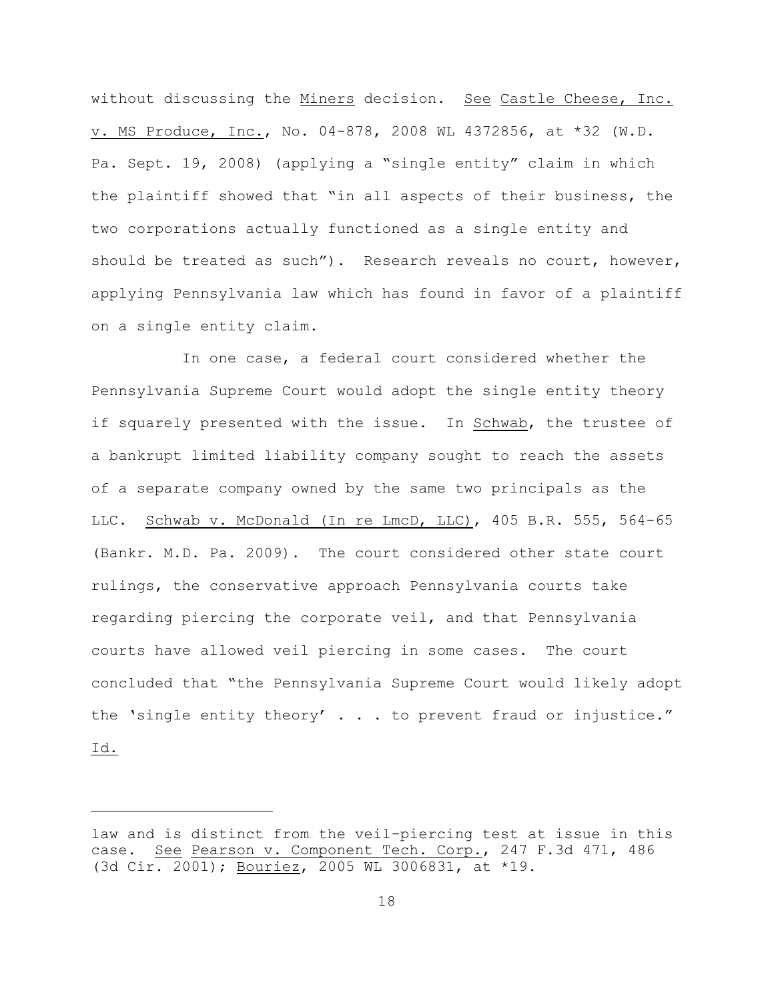without discussing the Miners decision. See Castle Cheese, Inc. v. MS Produce, Inc., No. 04-878, 2008 WL 4372856, at \*32 (W.D. Pa. Sept. 19, 2008) (applying a "single entity" claim in which the plaintiff showed that "in all aspects of their business, the two corporations actually functioned as a single entity and should be treated as such"). Research reveals no court, however, applying Pennsylvania law which has found in favor of a plaintiff on a single entity claim.

In one case, a federal court considered whether the Pennsylvania Supreme Court would adopt the single entity theory if squarely presented with the issue. In Schwab, the trustee of a bankrupt limited liability company sought to reach the assets of a separate company owned by the same two principals as the LLC. Schwab v. McDonald (In re LmcD, LLC), 405 B.R. 555, 564-65 (Bankr. M.D. Pa. 2009). The court considered other state court rulings, the conservative approach Pennsylvania courts take regarding piercing the corporate veil, and that Pennsylvania courts have allowed veil piercing in some cases. The court concluded that "the Pennsylvania Supreme Court would likely adopt the 'single entity theory' . . . to prevent fraud or injustice." Id.

law and is distinct from the veil-piercing test at issue in this case. See Pearson v. Component Tech. Corp., 247 F.3d 471, 486 (3d Cir. 2001); Bouriez, 2005 WL 3006831, at \*19.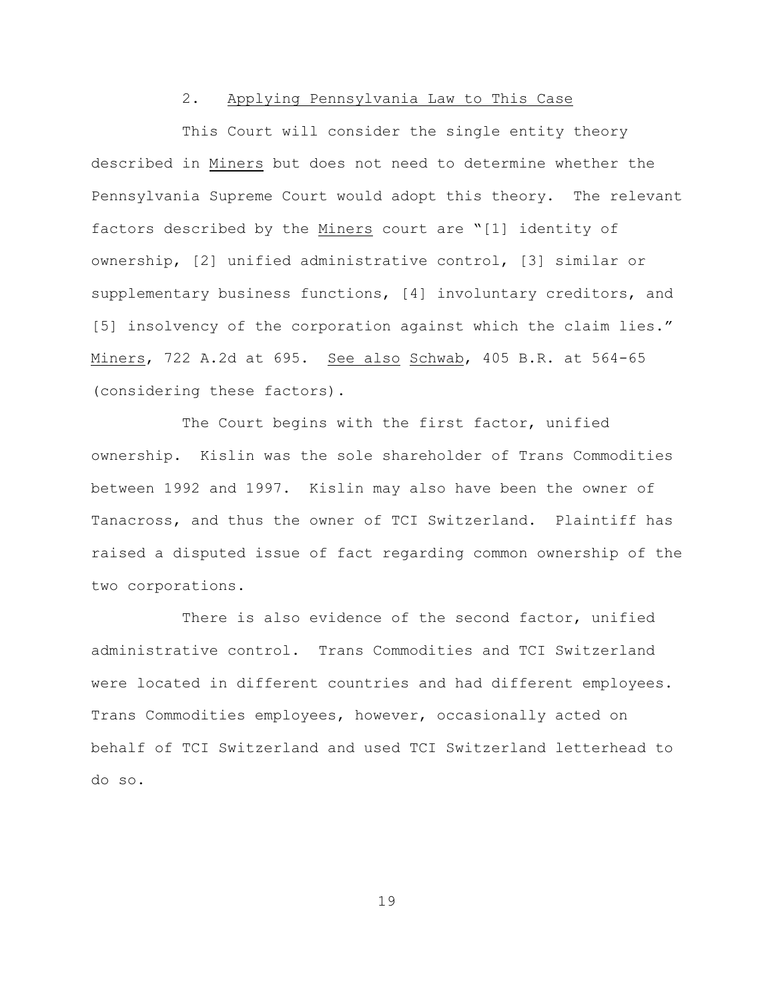### 2. Applying Pennsylvania Law to This Case

This Court will consider the single entity theory described in Miners but does not need to determine whether the Pennsylvania Supreme Court would adopt this theory. The relevant factors described by the Miners court are "[1] identity of ownership, [2] unified administrative control, [3] similar or supplementary business functions, [4] involuntary creditors, and [5] insolvency of the corporation against which the claim lies." Miners, 722 A.2d at 695. See also Schwab, 405 B.R. at 564-65 (considering these factors).

The Court begins with the first factor, unified ownership. Kislin was the sole shareholder of Trans Commodities between 1992 and 1997. Kislin may also have been the owner of Tanacross, and thus the owner of TCI Switzerland. Plaintiff has raised a disputed issue of fact regarding common ownership of the two corporations.

There is also evidence of the second factor, unified administrative control. Trans Commodities and TCI Switzerland were located in different countries and had different employees. Trans Commodities employees, however, occasionally acted on behalf of TCI Switzerland and used TCI Switzerland letterhead to do so.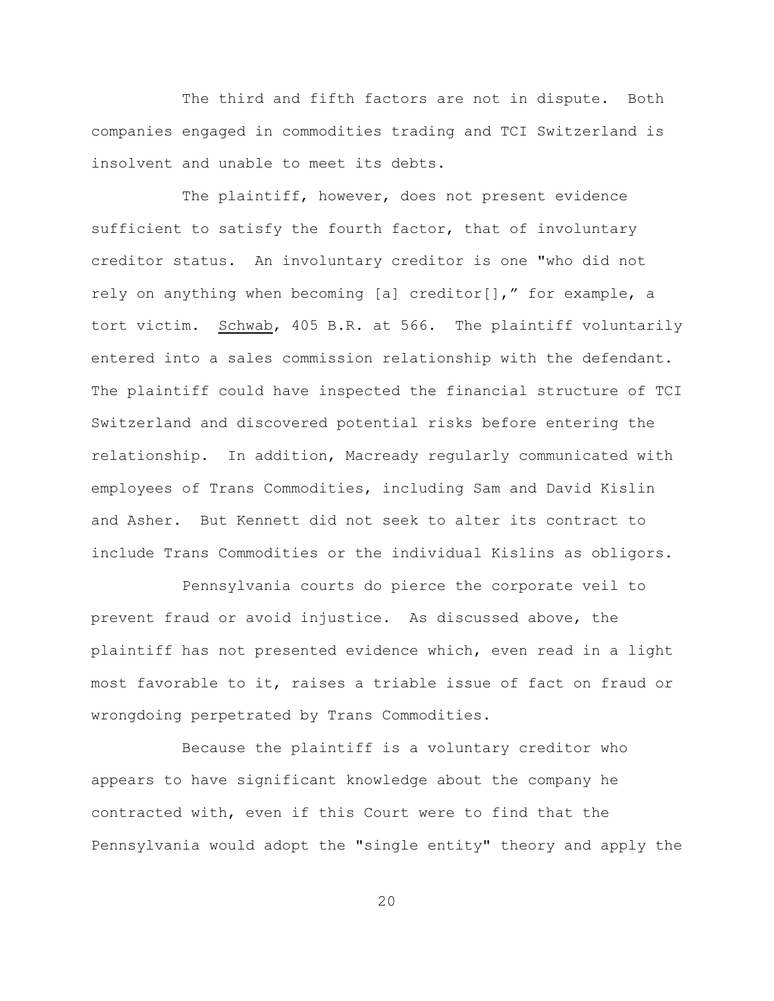The third and fifth factors are not in dispute. Both companies engaged in commodities trading and TCI Switzerland is insolvent and unable to meet its debts.

The plaintiff, however, does not present evidence sufficient to satisfy the fourth factor, that of involuntary creditor status. An involuntary creditor is one "who did not rely on anything when becoming [a] creditor[]," for example, a tort victim. Schwab, 405 B.R. at 566. The plaintiff voluntarily entered into a sales commission relationship with the defendant. The plaintiff could have inspected the financial structure of TCI Switzerland and discovered potential risks before entering the relationship. In addition, Macready regularly communicated with employees of Trans Commodities, including Sam and David Kislin and Asher. But Kennett did not seek to alter its contract to include Trans Commodities or the individual Kislins as obligors.

Pennsylvania courts do pierce the corporate veil to prevent fraud or avoid injustice. As discussed above, the plaintiff has not presented evidence which, even read in a light most favorable to it, raises a triable issue of fact on fraud or wrongdoing perpetrated by Trans Commodities.

Because the plaintiff is a voluntary creditor who appears to have significant knowledge about the company he contracted with, even if this Court were to find that the Pennsylvania would adopt the "single entity" theory and apply the